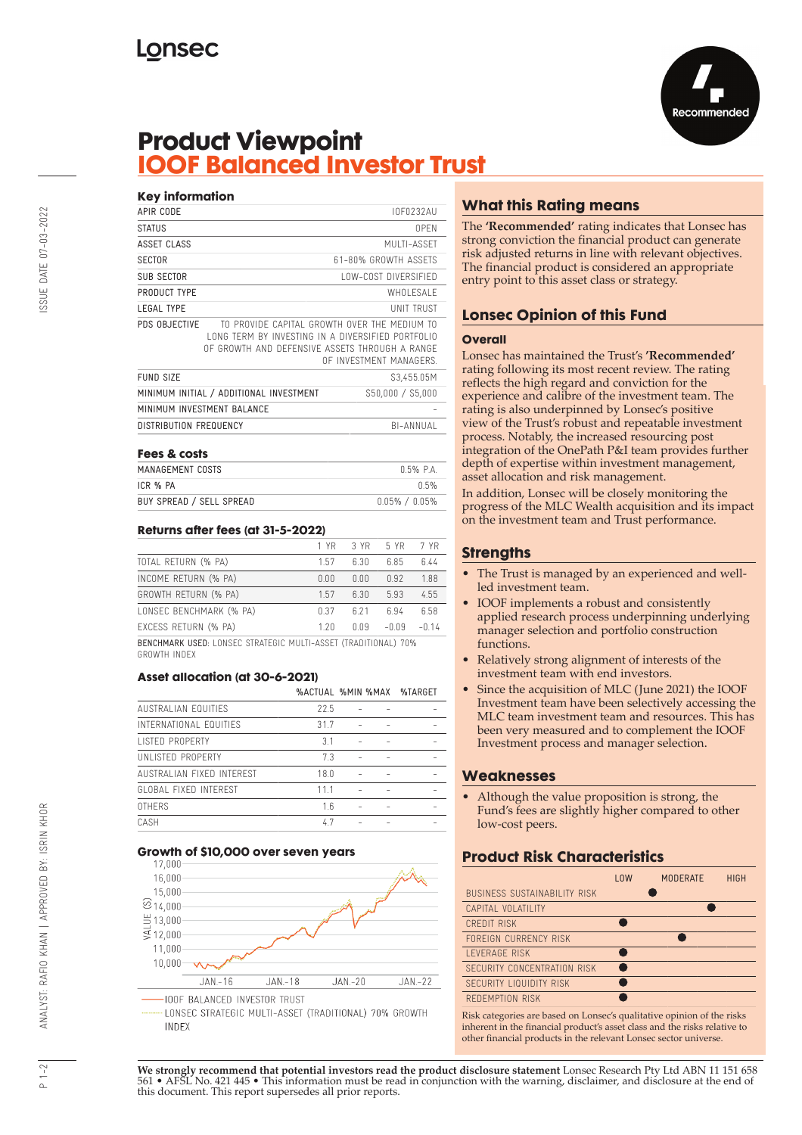

# **Product Viewpoint<br>IOOF Balanced Investor Trust**

| <b>Key information</b> |                                                                                                                                                     |                         |
|------------------------|-----------------------------------------------------------------------------------------------------------------------------------------------------|-------------------------|
| APIR CODE              |                                                                                                                                                     | IOF0232AU               |
| <b>STATUS</b>          |                                                                                                                                                     | <b>OPEN</b>             |
| ASSET CLASS            |                                                                                                                                                     | MULTI-ASSET             |
| <b>SECTOR</b>          |                                                                                                                                                     | 61-80% GROWTH ASSFTS    |
| SUB SECTOR             |                                                                                                                                                     | LOW-COST DIVERSIFIED    |
| PRODUCT TYPE           |                                                                                                                                                     | WHOI FSAI F             |
| <b>LEGAL TYPE</b>      |                                                                                                                                                     | <b>UNIT TRUST</b>       |
| PDS OBJECTIVE          | TO PROVIDE CAPITAL GROWTH OVER THE MEDIUM TO<br>LONG TERM BY INVESTING IN A DIVERSIFIED PORTFOLIO<br>OF GROWTH AND DEFENSIVE ASSETS THROUGH A RANGE | OF INVESTMENT MANAGERS. |
| <b>FUND SIZE</b>       |                                                                                                                                                     | \$3,455.05M             |
|                        | MINIMUM INITIAL / ADDITIONAL INVESTMENT                                                                                                             | \$50,000 / \$5,000      |
|                        | MINIMUM INVESTMENT BAI ANCE                                                                                                                         |                         |
| DISTRIBUTION FREQUENCY |                                                                                                                                                     | BI-ANNUAL               |
| Fees & costs           |                                                                                                                                                     |                         |

| LERS OF CASIS            |                     |
|--------------------------|---------------------|
| MANAGEMENT COSTS         | 0.5% PA             |
| ICR % PA                 | $0.5\%$             |
| BUY SPREAD / SELL SPREAD | $0.05\%$ / $0.05\%$ |

### Returns after fees (at 31-5-2022)

|                         | 1 YR | 3 YR  | 5 YR    | 7 YR    |
|-------------------------|------|-------|---------|---------|
| TOTAL RETURN (% PA)     | 157  | 6.30  | 6.85    | ճ 44    |
| INCOME RETURN (% PA)    | 0.00 | 0.00  | 0.92    | 1.88    |
| GROWTH RETURN (% PA)    | 157  | 6.30  | 5.93    | 4.55    |
| LONSEC BENCHMARK (% PA) | n 37 | 6 2 1 | 6.94    | 658     |
| EXCESS RETURN (% PA)    | 120  | 0.09  | $-0.09$ | $-0.14$ |
|                         |      |       | .       |         |

BENCHMARK USED: LONSEC STRATEGIC MULTI-ASSET (TRADITIONAL) 70% GROWTH INDEX

### Asset allocation (at 30-6-2021)

|                           |      |  | %ACTUAL %MIN %MAX %TARGET |
|---------------------------|------|--|---------------------------|
| AUSTRALIAN FOUITIFS       | 22.5 |  |                           |
| INTERNATIONAL EQUITIES    | 31.7 |  |                           |
| <b>LISTED PROPERTY</b>    | 31   |  |                           |
| UNI ISTED PROPERTY        | 73   |  |                           |
| AUSTRALIAN FIXED INTEREST | 18.0 |  |                           |
| GLOBAL FIXED INTEREST     | 111  |  |                           |
| <b>OTHERS</b>             | 16   |  |                           |
| <b>CASH</b>               | 47   |  |                           |

### Growth of \$10,000 over seven years



LONSEC STRATEGIC MULTI-ASSET (TRADITIONAL) 70% GROWTH INDEX

# **What this Rating means**

The 'Recommended' rating indicates that Lonsec has strong conviction the financial product can generate risk adjusted returns in line with relevant objectives. The financial product is considered an appropriate entry point to this asset class or strategy.

# **Lonsec Opinion of this Fund**

### **Overall**

Lonsec has maintained the Trust's 'Recommended' rating following its most recent review. The rating reflects the high regard and conviction for the experience and calibre of the investment team. The rating is also underpinned by Lonsec's positive view of the Trust's robust and repeatable investment process. Notably, the increased resourcing post integration of the OnePath P&I team provides further depth of expertise within investment management, asset allocation and risk management.

In addition, Lonsec will be closely monitoring the progress of the MLC Wealth acquisition and its impact on the investment team and Trust performance.

### **Strengths**

- The Trust is managed by an experienced and wellled investment team.
- IOOF implements a robust and consistently applied research process underpinning underlying manager selection and portfolio construction functions.
- Relatively strong alignment of interests of the investment team with end investors.
- Since the acquisition of MLC (June 2021) the IOOF Investment team have been selectively accessing the MLC team investment team and resources. This has been very measured and to complement the IOOF Investment process and manager selection.

### **Weaknesses**

Although the value proposition is strong, the Fund's fees are slightly higher compared to other low-cost peers.

# **Product Risk Characteristics**

|                                     | <b>LOW</b> | <b>MODERATE</b> | <b>HIGH</b> |
|-------------------------------------|------------|-----------------|-------------|
| <b>BUSINESS SUSTAINABILITY RISK</b> |            |                 |             |
| CAPITAL VOLATILITY                  |            |                 |             |
| <b>CREDIT RISK</b>                  |            |                 |             |
| FORFIGN CURRENCY RISK               |            |                 |             |
| <b>I FVFRAGF RISK</b>               |            |                 |             |
| SECURITY CONCENTRATION RISK         |            |                 |             |
| SECURITY LIQUIDITY RISK             |            |                 |             |
| REDEMPTION RISK                     |            |                 |             |

Risk categories are based on Lonsec's qualitative opinion of the risks inherent in the financial product's asset class and the risks relative to other financial products in the relevant Lonsec sector universe.

We strongly recommend that potential investors read the product disclosure statement Lonsec Research Pty Ltd ABN 11 151 658<br>561 • AFSL No. 421 445 • This information must be read in conjunction with the warning, disclaimer this document. This report supersedes all prior reports.